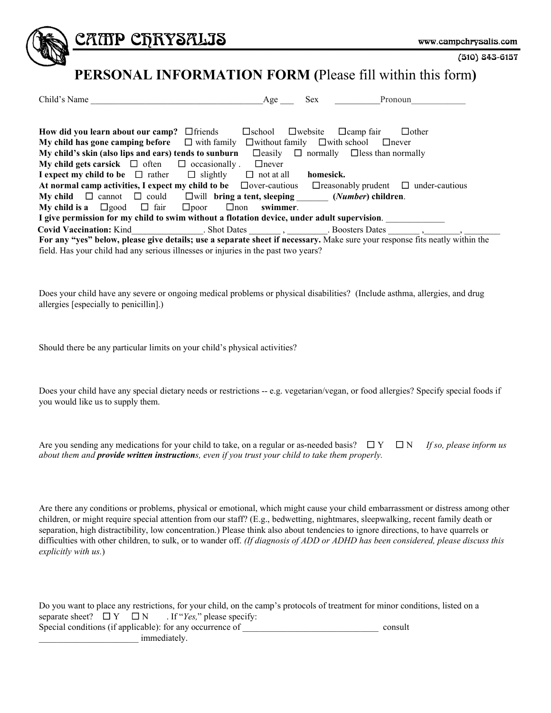

CATIP CFRYSALIS

```
(510) 843-6157
```
## **PERSONAL INFORMATION FORM (**Please fill within this form**)**

| Child's Name                                                                                                                                                                                                                                                                                                                                                     | Age               | Sex.                                                    | Pronoun                                         |  |  |  |
|------------------------------------------------------------------------------------------------------------------------------------------------------------------------------------------------------------------------------------------------------------------------------------------------------------------------------------------------------------------|-------------------|---------------------------------------------------------|-------------------------------------------------|--|--|--|
|                                                                                                                                                                                                                                                                                                                                                                  |                   |                                                         |                                                 |  |  |  |
| How did you learn about our camp? $\Box$ friends                                                                                                                                                                                                                                                                                                                 | $\Box$ school     | $\Box$ website<br>$\Box$ camp fair                      | $\Box$ other                                    |  |  |  |
| $\Box$ with family<br>My child has gone camping before                                                                                                                                                                                                                                                                                                           |                   | $\Box$ without family $\Box$ with school                | $\Box$ never                                    |  |  |  |
| My child's skin (also lips and ears) tends to sunburn                                                                                                                                                                                                                                                                                                            |                   | $\Box$ easily $\Box$ normally $\Box$ less than normally |                                                 |  |  |  |
| My child gets carsick $\Box$ often $\Box$ occasionally.                                                                                                                                                                                                                                                                                                          | $\Box$ never      |                                                         |                                                 |  |  |  |
| I expect my child to be $\Box$ rather $\Box$ slightly                                                                                                                                                                                                                                                                                                            | $\Box$ not at all | homesick.                                               |                                                 |  |  |  |
| At normal camp activities, I expect my child to be $\Box$ over-cautious                                                                                                                                                                                                                                                                                          |                   |                                                         | $\Box$ reasonably prudent $\Box$ under-cautious |  |  |  |
| <b>My child</b> $\Box$ cannot $\Box$ could $\Box$ will <b>bring a tent, sleeping</b>                                                                                                                                                                                                                                                                             |                   | ( <i>Number</i> ) children.                             |                                                 |  |  |  |
| My child is a $\Box$ good $\Box$ fair $\Box$ poor<br>$\Box$ non                                                                                                                                                                                                                                                                                                  | swimmer.          |                                                         |                                                 |  |  |  |
| I give permission for my child to swim without a flotation device, under adult supervision.                                                                                                                                                                                                                                                                      |                   |                                                         |                                                 |  |  |  |
| Covid Vaccination: Kind Covid Vaccination: Kind Covid Vaccination: Kind Covid Vaccination: Kind Covid Vaccination: Kind Covid Vaccination: Kind Covid Vaccination: Kind Covid Vaccination: Kind Covid Vaccination: Kind Covid                                                                                                                                    |                   |                                                         |                                                 |  |  |  |
| For any "yes" below, please give details; use a separate sheet if necessary. Make sure your response fits neatly within the<br>$\alpha$ ii this contract the contract of the contract of the contract of the contract of the contract of the contract of the contract of the contract of the contract of the contract of the contract of the contract of the con |                   |                                                         |                                                 |  |  |  |

field. Has your child had any serious illnesses or injuries in the past two years?

Does your child have any severe or ongoing medical problems or physical disabilities? (Include asthma, allergies, and drug allergies [especially to penicillin].)

Should there be any particular limits on your child's physical activities?

Does your child have any special dietary needs or restrictions -- e.g. vegetarian/vegan, or food allergies? Specify special foods if you would like us to supply them.

Are you sending any medications for your child to take, on a regular or as-needed basis?  $\square Y \square N$  *If so, please inform us about them and provide written instructions, even if you trust your child to take them properly.*

Are there any conditions or problems, physical or emotional, which might cause your child embarrassment or distress among other children, or might require special attention from our staff? (E.g., bedwetting, nightmares, sleepwalking, recent family death or separation, high distractibility, low concentration.) Please think also about tendencies to ignore directions, to have quarrels or difficulties with other children, to sulk, or to wander off. *(If diagnosis of ADD or ADHD has been considered, please discuss this explicitly with us.*)

| Do you want to place any restrictions, for your child, on the camp's protocols of treatment for minor conditions, listed on a |         |
|-------------------------------------------------------------------------------------------------------------------------------|---------|
| separate sheet? $\Box Y \Box N$ . If " <i>Yes</i> ," please specify:                                                          |         |
| Special conditions (if applicable): for any occurrence of                                                                     | consult |
| <i>immediately.</i>                                                                                                           |         |